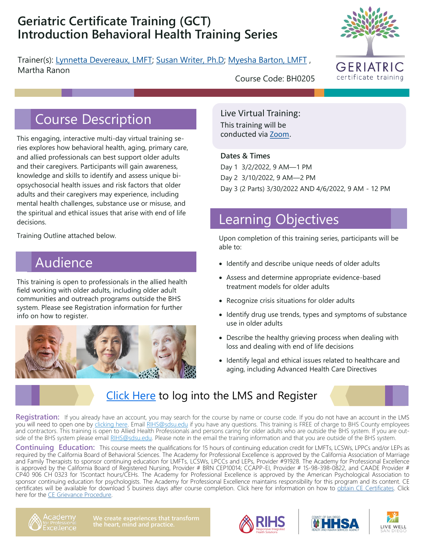## **Geriatric Certificate Training (GCT) Introduction Behavioral Health Training Series**

Trainer(s): [Lynnetta Devereaux, LMFT;](https://theacademy.sdsu.edu/rihsbios/lynnetta-devereaux/) [Susan Writer, Ph.D;](https://theacademy.sdsu.edu/rihsbios/susan-writer/) [Myesha Barton, LMFT](https://theacademy.sdsu.edu/rihsbios/myesha-barton-lmft/) , Martha Ranon



Course Description

This engaging, interactive multi-day virtual training series explores how behavioral health, aging, primary care, and allied professionals can best support older adults and their caregivers. Participants will gain awareness, knowledge and skills to identify and assess unique biopsychosocial health issues and risk factors that older adults and their caregivers may experience, including mental health challenges, substance use or misuse, and the spiritual and ethical issues that arise with end of life decisions.

Training Outline attached below.

## Audience

This training is open to professionals in the allied health field working with older adults, including older adult communities and outreach programs outside the BHS system. Please see Registration information for further info on how to register.



Course Code: BH0205

Live Virtual Training: This training will be conducted via [Zoom.](https://zoom.us/download)

### **Dates & Times**

Day 1 3/2/2022, 9 AM—1 PM Day 2 3/10/2022, 9 AM—2 PM Day 3 (2 Parts) 3/30/2022 AND 4/6/2022, 9 AM - 12 PM

# Learning Objectives

Upon completion of this training series, participants will be able to:

- Identify and describe unique needs of older adults
- Assess and determine appropriate evidence-based treatment models for older adults
- Recognize crisis situations for older adults
- Identify drug use trends, types and symptoms of substance use in older adults
- Describe the healthy grieving process when dealing with loss and dealing with end of life decisions
- Identify legal and ethical issues related to healthcare and aging, including Advanced Health Care Directives

### [Click Here](https://academy.sumtotal.host) to log into the LMS and Register

**Registration:** If you already have an account, you may search for the course by name or course code. If you do not have an account in the LMS you will need to open one by *clicking here.* Email [RIHS@sdsu.edu](mailto:RIHS@sdsu.edu?subject=Create%20Account) if you have any questions. This training is FREE of charge to BHS County employees and contractors. This training is open to Allied Health Professionals and persons caring for older adults who are outside the BHS system. If you are out-side of the BHS system please email [RIHS@sdsu.edu.](mailto:RIHS@sdsu.edu?subject=Create%20Account) Please note in the email the training information and that you are outside of the BHS system.

**Continuing Education:** This course meets the qualifications for 15 hours of continuing education credit for LMFTs, LCSWs, LPPCs and/or LEPs as required by the California Board of Behavioral Sciences. The Academy for Professional Excellence is approved by the California Association of Marriage and Family Therapists to sponsor continuing education for LMFTs, LCSWs, LPCCs and LEPs, Provider #91928. The Academy for Professional Excellence is approved by the California Board of Registered Nursing, Provider # BRN CEP10014; CCAPP-EI, Provider # 1S-98-398-0822, and CAADE Provider # CP40 906 CH 0323 for 15contact hours/CEHs. The Academy for Professional Excellence is approved by the American Psychological Association to sponsor continuing education for psychologists. The Academy for Professional Excellence maintains responsibility for this program and its content. CE certificates will be available for download 5 business days after course completion. Click here for information on how to [obtain CE Certificates.](https://theacademy.sdsu.edu/programs/rihs/rihs-faq/) Click here for the [CE Grievance Procedure.](https://drive.google.com/file/d/10H4zN0gLatK2hP5SJpe0HTZkZpYm8GRj/view)







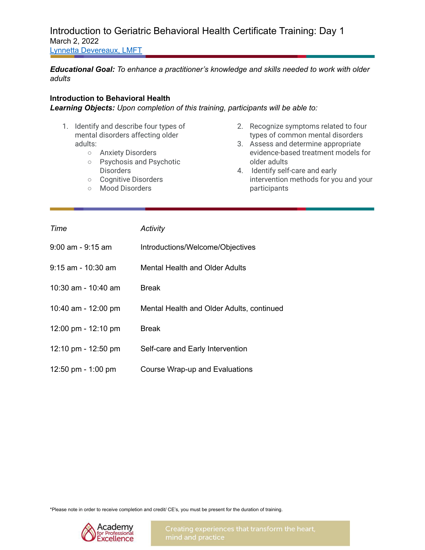Introduction to Geriatric Behavioral Health Certificate Training: Day 1 March 2, 2022 Lynnetta [Devereaux,](https://theacademy.sdsu.edu/rihsbios/lynnetta-devereaux/) LMFT

*Educational Goal: To enhance a practitioner's knowledge and skills needed to work with older adults*

#### **Introduction to Behavioral Health**

*Learning Objects: Upon completion of this training, participants will be able to:*

- 1. Identify and describe four types of mental disorders affecting older adults:
	- Anxiety Disorders
	- Psychosis and Psychotic **Disorders**
	- Cognitive Disorders
	- Mood Disorders
- 2. Recognize symptoms related to four types of common mental disorders
- 3. Assess and determine appropriate evidence-based treatment models for older adults
- 4. Identify self-care and early intervention methods for you and your participants

| Time                  | Activity                                  |
|-----------------------|-------------------------------------------|
| $9:00$ am - $9:15$ am | Introductions/Welcome/Objectives          |
| $9:15$ am - 10:30 am  | Mental Health and Older Adults            |
| 10:30 am - 10:40 am   | <b>Break</b>                              |
| 10:40 am - 12:00 pm   | Mental Health and Older Adults, continued |
| 12:00 pm - $12:10$ pm | <b>Break</b>                              |
| 12:10 pm - $12:50$ pm | Self-care and Early Intervention          |
| 12:50 pm $-$ 1:00 pm  | Course Wrap-up and Evaluations            |

\*Please note in order to receive completion and credit/ CE's, you must be present for the duration of training.

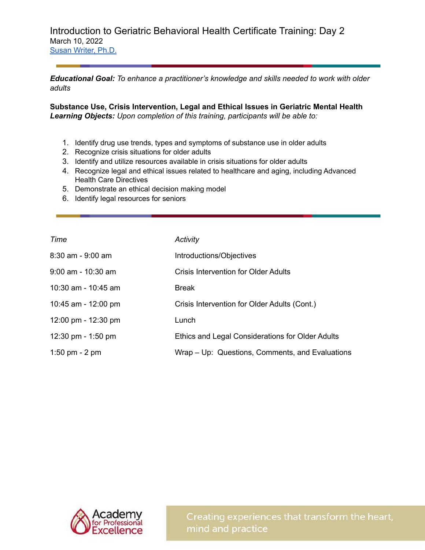Introduction to Geriatric Behavioral Health Certificate Training: Day 2 March 10, 2022 Susan [Writer,](https://theacademy.sdsu.edu/rihsbios/susan-writer/) Ph.D.

*Educational Goal: To enhance a practitioner's knowledge and skills needed to work with older adults*

**Substance Use, Crisis Intervention, Legal and Ethical Issues in Geriatric Mental Health** *Learning Objects: Upon completion of this training, participants will be able to:*

- 1. Identify drug use trends, types and symptoms of substance use in older adults
- 2. Recognize crisis situations for older adults
- 3. Identify and utilize resources available in crisis situations for older adults
- 4. Recognize legal and ethical issues related to healthcare and aging, including Advanced Health Care Directives
- 5. Demonstrate an ethical decision making model
- 6. Identify legal resources for seniors

| Time                                  | Activity                                         |
|---------------------------------------|--------------------------------------------------|
| $8:30$ am - $9:00$ am                 | Introductions/Objectives                         |
| $9:00$ am - 10:30 am                  | Crisis Intervention for Older Adults             |
| $10:30$ am - $10:45$ am               | <b>Break</b>                                     |
| 10:45 am - 12:00 pm                   | Crisis Intervention for Older Adults (Cont.)     |
| $12:00 \text{ pm} - 12:30 \text{ pm}$ | Lunch                                            |
| 12:30 pm $-$ 1:50 pm                  | Ethics and Legal Considerations for Older Adults |
| 1:50 pm $-$ 2 pm                      | Wrap – Up: Questions, Comments, and Evaluations  |



Creating experiences that transform the heart, mind and practice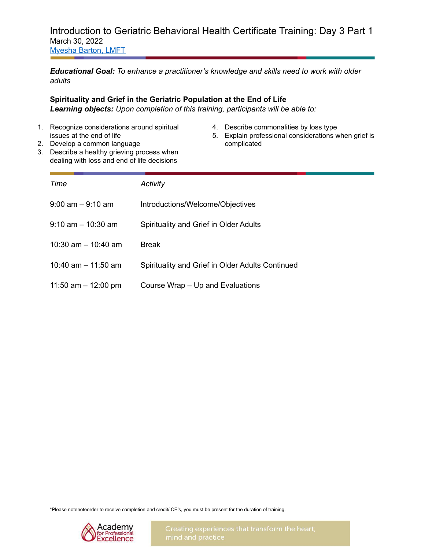### Introduction to Geriatric Behavioral Health Certificate Training: Day 3 Part 1 March 30, 2022 [Myesha](https://theacademy.sdsu.edu/rihsbios/myesha-barton-lmft/) Barton, LMFT

*Educational Goal: To enhance a practitioner's knowledge and skills need to work with older adults*

### **Spirituality and Grief in the Geriatric Population at the End of Life**

*Learning objects: Upon completion of this training, participants will be able to:*

- 1. Recognize considerations around spiritual issues at the end of life
- 4. Describe commonalities by loss type
- 5. Explain professional considerations when grief is complicated
- 2. Develop a common language 3. Describe a healthy grieving process when dealing with loss and end of life decisions

| Time                   | Activity                                         |
|------------------------|--------------------------------------------------|
| $9:00$ am $-9:10$ am   | Introductions/Welcome/Objectives                 |
| $9:10$ am $-10:30$ am  | Spirituality and Grief in Older Adults           |
| $10:30$ am $-10:40$ am | <b>Break</b>                                     |
| 10:40 am $-$ 11:50 am  | Spirituality and Grief in Older Adults Continued |
| 11:50 am $-$ 12:00 pm  | Course Wrap - Up and Evaluations                 |

\*Please notenoteorder to receive completion and credit/ CE's, you must be present for the duration of training.